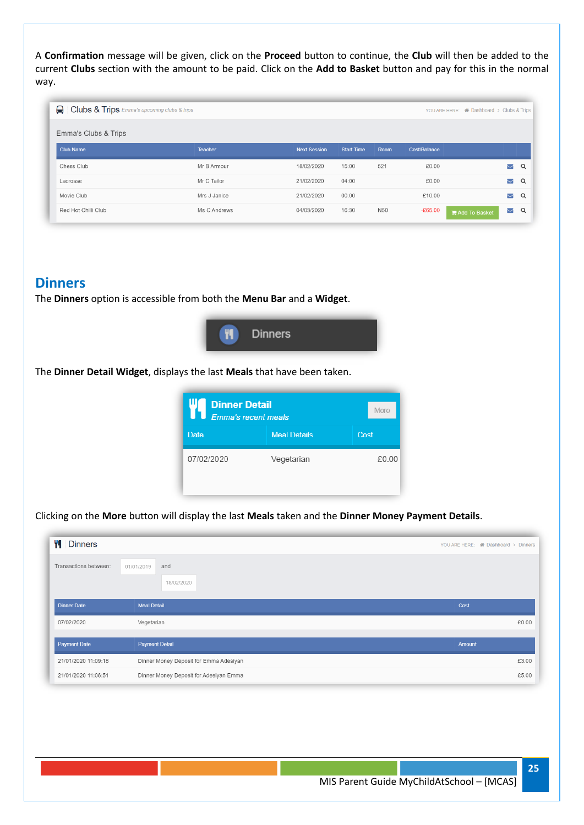A **Confirmation** message will be given, click on the **Proceed** button to continue, the **Club** will then be added to the current **Clubs** section with the amount to be paid. Click on the **Add to Basket** button and pay for this in the normal way.

| Clubs & Trips Emma's upcoming clubs & trips |                |                     |                   |                 |                     | YOU ARE HERE: <a>A Dashboard<br/>&gt;&gt;&gt;&gt;&gt;&gt; Clubs &amp; Trips</a> |                      |   |
|---------------------------------------------|----------------|---------------------|-------------------|-----------------|---------------------|---------------------------------------------------------------------------------|----------------------|---|
| Emma's Clubs & Trips                        |                |                     |                   |                 |                     |                                                                                 |                      |   |
| <b>Club Name</b>                            | <b>Teacher</b> | <b>Next Session</b> | <b>Start Time</b> | <b>Room</b>     | <b>Cost/Balance</b> |                                                                                 |                      |   |
| Chess Club                                  | Mr B Armour    | 18/02/2020          | 15:00             | 521             | £0.00               |                                                                                 | Δ                    | Q |
| Lacrosse                                    | Mr C Tailor    | 21/02/2020          | 04:00             |                 | £0.00               |                                                                                 | Z                    | Q |
| Movie Club                                  | Mrs J Janice   | 21/02/2020          | 00:00             |                 | £10.00              |                                                                                 | $\blacktriangledown$ | Q |
| Red Hot Chilli Club                         | Ms C Andrews   | 04/03/2020          | 16:30             | N <sub>50</sub> | $-£65.00$           | Add To Basket                                                                   | $\backsim$           | Q |

## **Dinners**

The **Dinners** option is accessible from both the **Menu Bar** and a **Widget**.



The **Dinner Detail Widget**, displays the last **Meals** that have been taken.

| <b>Dinner Detail</b><br>Emma's recent meals | More                |       |
|---------------------------------------------|---------------------|-------|
| <b>Date</b>                                 | <b>Meal Details</b> | Cost  |
| 07/02/2020                                  | Vegetarian          | £0.00 |

Clicking on the **More** button will display the last **Meals** taken and the **Dinner Money Payment Details**.

| ۳I<br><b>Dinners</b>  |                                        | YOU ARE HERE: 4 Dashboard > Dinners |
|-----------------------|----------------------------------------|-------------------------------------|
| Transactions between: | and<br>01/01/2019<br>18/02/2020        |                                     |
| <b>Dinner Date</b>    | <b>Meal Detail</b>                     | Cost                                |
| 07/02/2020            | Vegetarian                             | £0.00                               |
| <b>Payment Date</b>   | <b>Payment Detail</b>                  | <b>Amount</b>                       |
| 21/01/2020 11:09:18   | Dinner Money Deposit for Emma Adesiyan | £3.00                               |
| 21/01/2020 11:06:51   | Dinner Money Deposit for Adesiyan Emma | £5.00                               |

**25**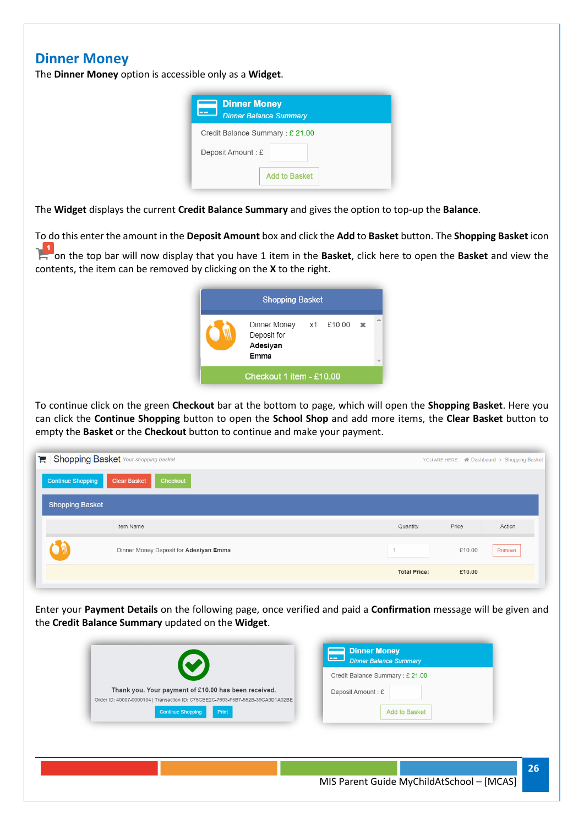## **Dinner Money**

The **Dinner Money** option is accessible only as a **Widget**.

| <b>Dinner Money</b><br><b>Dinner Balance Summary</b> |
|------------------------------------------------------|
| Credit Balance Summary: £ 21.00                      |
| Deposit Amount: £                                    |
| <b>Add to Basket</b>                                 |

The **Widget** displays the current **Credit Balance Summary** and gives the option to top-up the **Balance**.

To do this enter the amount in the **Deposit Amount** box and click the **Add** to **Basket** button. The **Shopping Basket** icon

on the top bar will now display that you have 1 item in the **Basket**, click here to open the **Basket** and view the contents, the item can be removed by clicking on the **X** to the right.

|                          | <b>Shopping Basket</b>                                               |  |  |  |  |  |
|--------------------------|----------------------------------------------------------------------|--|--|--|--|--|
|                          | Dinner Money $x1$ £10.00 $\times$<br>Deposit for<br>Adesiyan<br>Emma |  |  |  |  |  |
| Checkout 1 item - £10.00 |                                                                      |  |  |  |  |  |

To continue click on the green **Checkout** bar at the bottom to page, which will open the **Shopping Basket**. Here you can click the **Continue Shopping** button to open the **School Shop** and add more items, the **Clear Basket** button to empty the **Basket** or the **Checkout** button to continue and make your payment.

| Shopping Basket Your shopping basket |                                        |                     |        |        |
|--------------------------------------|----------------------------------------|---------------------|--------|--------|
| Continue Shopping                    | Checkout<br><b>Clear Basket</b>        |                     |        |        |
| <b>Shopping Basket</b>               |                                        |                     |        |        |
|                                      | Item Name                              | Quantity            | Price  | Action |
|                                      | Dinner Money Deposit for Adesiyan Emma |                     | £10.00 | Remove |
|                                      |                                        | <b>Total Price:</b> | £10.00 |        |

Enter your **Payment Details** on the following page, once verified and paid a **Confirmation** message will be given and the **Credit Balance Summary** updated on the **Widget**.

|                                                                                                                                        | ل عما<br><b>Dinner Balance Summary</b><br>Credit Balance Summary : £ 21.00 |
|----------------------------------------------------------------------------------------------------------------------------------------|----------------------------------------------------------------------------|
|                                                                                                                                        |                                                                            |
| Thank you. Your payment of £10.00 has been received.<br>Order ID: 40007-0000104   Transaction ID: C75CBE2C-7693-F6B7-552B-39CA3D1A02BE | Deposit Amount: £                                                          |
| <b>Continue Shopping</b><br>Print                                                                                                      | <b>Add to Basket</b>                                                       |
|                                                                                                                                        |                                                                            |
|                                                                                                                                        |                                                                            |
|                                                                                                                                        |                                                                            |
|                                                                                                                                        |                                                                            |
|                                                                                                                                        |                                                                            |